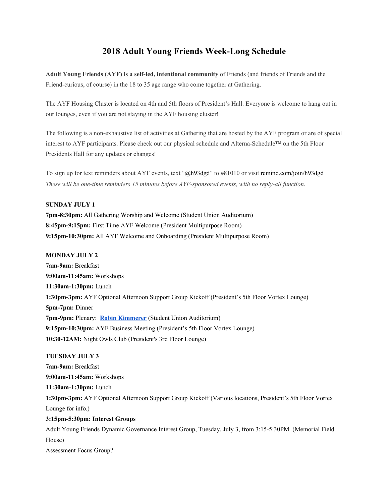# **2018 Adult Young Friends Week-Long Schedule**

**Adult Young Friends (AYF) is a self-led, intentional community** of Friends (and friends of Friends and the Friend-curious, of course) in the 18 to 35 age range who come together at Gathering.

The AYF Housing Cluster is located on 4th and 5th floors of President's Hall. Everyone is welcome to hang out in our lounges, even if you are not staying in the AYF housing cluster!

The following is a non-exhaustive list of activities at Gathering that are hosted by the AYF program or are of special interest to AYF participants. Please check out our physical schedule and Alterna-Schedule™ on the 5th Floor Presidents Hall for any updates or changes!

To sign up for text reminders about AYF events, text "@h93dgd" to #81010 or visit remind.com/join/h93dgd *These will be one-time reminders 15 minutes before AYF-sponsored events, with no reply-all function.*

## **SUNDAY JULY 1**

**7pm-8:30pm:** All Gathering Worship and Welcome (Student Union Auditorium) **8:45pm-9:15pm:** First Time AYF Welcome (President Multipurpose Room) **9:15pm-10:30pm:** All AYF Welcome and Onboarding (President Multipurpose Room)

#### **MONDAY JULY 2**

**7am-9am:** Breakfast **9:00am-11:45am:** Workshops **11:30am-1:30pm:** Lunch **1:30pm-3pm:** AYF Optional Afternoon Support Group Kickoff (President's 5th Floor Vortex Lounge) **5pm-7pm:** Dinner **7pm-9pm:** Plenary: **Robin [Kimmerer](https://www.fgcquaker.org/events/robin-wall-kimmerer)** (Student Union Auditorium) **9:15pm-10:30pm:** AYF Business Meeting (President's 5th Floor Vortex Lounge) **10:30-12AM:** Night Owls Club (President's 3rd Floor Lounge)

## **TUESDAY JULY 3**

**7am-9am:** Breakfast **9:00am-11:45am:** Workshops **11:30am-1:30pm:** Lunch **1:30pm-3pm:** AYF Optional Afternoon Support Group Kickoff (Various locations, President's 5th Floor Vortex Lounge for info.) **3:15pm-5:30pm: Interest Groups** Adult Young Friends Dynamic Governance Interest Group, Tuesday, July 3, from 3:15-5:30PM (Memorial Field House)

Assessment Focus Group?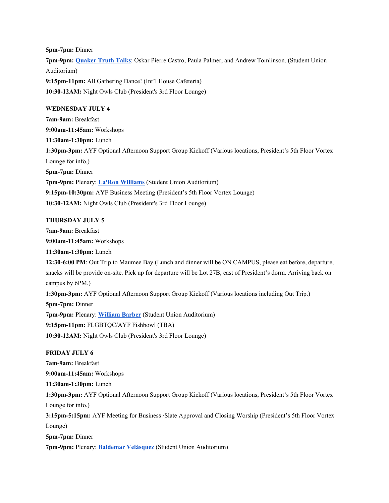**5pm-7pm:** Dinner **7pm-9pm: [Quaker](https://www.fgcquaker.org/events/quaker-truth-talks) Truth Talks**: Oskar Pierre Castro, Paula Palmer, and Andrew Tomlinson. (Student Union Auditorium) **9:15pm-11pm:** All Gathering Dance! (Int'l House Cafeteria) **10:30-12AM:** Night Owls Club (President's 3rd Floor Lounge)

## **WEDNESDAY JULY 4**

**7am-9am:** Breakfast **9:00am-11:45am:** Workshops **11:30am-1:30pm:** Lunch **1:30pm-3pm:** AYF Optional Afternoon Support Group Kickoff (Various locations, President's 5th Floor Vortex Lounge for info.) **5pm-7pm:** Dinner **7pm-9pm:** Plenary: **La'Ron [Williams](https://www.fgcquaker.org/events/laron-williams)** (Student Union Auditorium) **9:15pm-10:30pm:** AYF Business Meeting (President's 5th Floor Vortex Lounge) **10:30-12AM:** Night Owls Club (President's 3rd Floor Lounge)

## **THURSDAY JULY 5**

**7am-9am:** Breakfast **9:00am-11:45am:** Workshops **11:30am-1:30pm:** Lunch **12:30-6:00 PM**: Out Trip to Maumee Bay (Lunch and dinner will be ON CAMPUS, please eat before, departure, snacks will be provide on-site. Pick up for departure will be Lot 27B, east of President's dorm. Arriving back on campus by 6PM.) **1:30pm-3pm:** AYF Optional Afternoon Support Group Kickoff (Various locations including Out Trip.) **5pm-7pm:** Dinner **7pm-9pm:** Plenary: **[William](https://www.fgcquaker.org/events/william-barber) Barber** (Student Union Auditorium) **9:15pm-11pm:** FLGBTQC/AYF Fishbowl (TBA) **10:30-12AM:** Night Owls Club (President's 3rd Floor Lounge)

## **FRIDAY JULY 6**

**7am-9am:** Breakfast **9:00am-11:45am:** Workshops **11:30am-1:30pm:** Lunch **1:30pm-3pm:** AYF Optional Afternoon Support Group Kickoff (Various locations, President's 5th Floor Vortex Lounge for info.) **3:15pm-5:15pm:** AYF Meeting for Business /Slate Approval and Closing Worship (President's 5th Floor Vortex Lounge) **5pm-7pm:** Dinner

**7pm-9pm:** Plenary: **Baldemar [Velásquez](https://www.fgcquaker.org/events/baldemar-vel-squez)** (Student Union Auditorium)